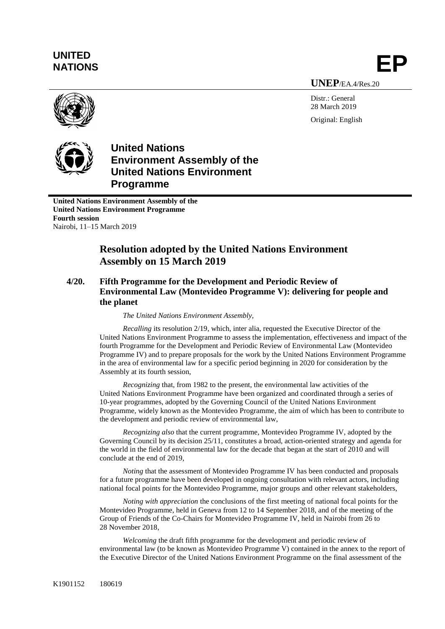## **UNITED** UNITED<br>NATIONS **EP**

**UNEP**/EA.4/Res.20

Distr.: General 28 March 2019 Original: English



**United Nations Environment Assembly of the United Nations Environment Programme**

**United Nations Environment Assembly of the United Nations Environment Programme Fourth session** Nairobi, 11–15 March 2019

## **Resolution adopted by the United Nations Environment Assembly on 15 March 2019**

## **4/20. Fifth Programme for the Development and Periodic Review of Environmental Law (Montevideo Programme V): delivering for people and the planet**

*The United Nations Environment Assembly,*

*Recalling* its resolution 2/19, which, inter alia, requested the Executive Director of the United Nations Environment Programme to assess the implementation, effectiveness and impact of the fourth Programme for the Development and Periodic Review of Environmental Law (Montevideo Programme IV) and to prepare proposals for the work by the United Nations Environment Programme in the area of environmental law for a specific period beginning in 2020 for consideration by the Assembly at its fourth session,

*Recognizing* that, from 1982 to the present, the environmental law activities of the United Nations Environment Programme have been organized and coordinated through a series of 10-year programmes, adopted by the Governing Council of the United Nations Environment Programme, widely known as the Montevideo Programme, the aim of which has been to contribute to the development and periodic review of environmental law,

*Recognizing also* that the current programme, Montevideo Programme IV, adopted by the Governing Council by its decision 25/11, constitutes a broad, action-oriented strategy and agenda for the world in the field of environmental law for the decade that began at the start of 2010 and will conclude at the end of 2019,

*Noting* that the assessment of Montevideo Programme IV has been conducted and proposals for a future programme have been developed in ongoing consultation with relevant actors, including national focal points for the Montevideo Programme, major groups and other relevant stakeholders,

*Noting with appreciation* the conclusions of the first meeting of national focal points for the Montevideo Programme, held in Geneva from 12 to 14 September 2018, and of the meeting of the Group of Friends of the Co-Chairs for Montevideo Programme IV, held in Nairobi from 26 to 28 November 2018,

*Welcoming* the draft fifth programme for the development and periodic review of environmental law (to be known as Montevideo Programme V) contained in the annex to the report of the Executive Director of the United Nations Environment Programme on the final assessment of the